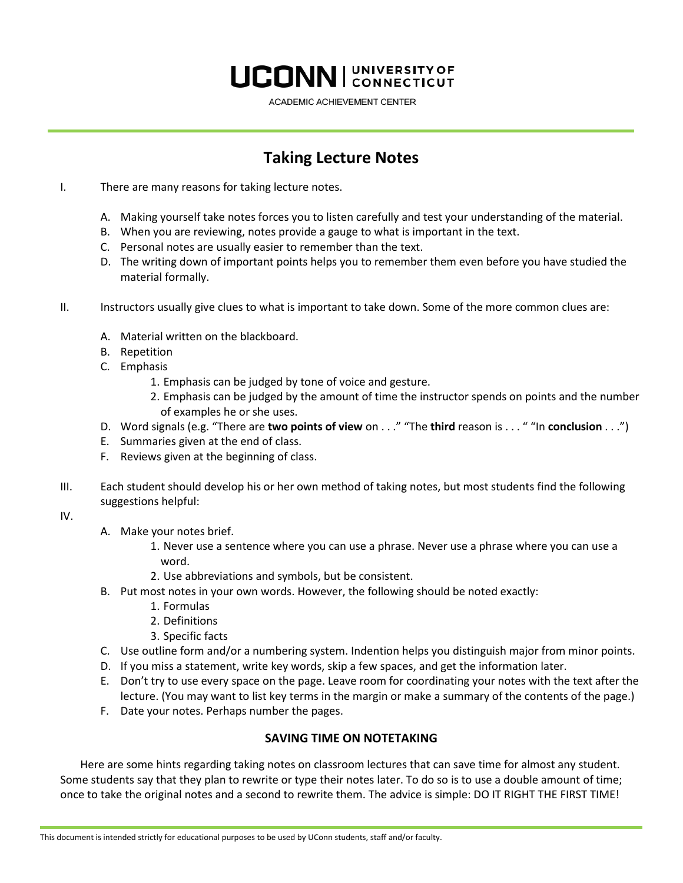## **UCONN** CONNECTICUT

ACADEMIC ACHIEVEMENT CENTER

## **Taking Lecture Notes**

- I. There are many reasons for taking lecture notes.
	- A. Making yourself take notes forces you to listen carefully and test your understanding of the material.
	- B. When you are reviewing, notes provide a gauge to what is important in the text.
	- C. Personal notes are usually easier to remember than the text.
	- D. The writing down of important points helps you to remember them even before you have studied the material formally.
- II. Instructors usually give clues to what is important to take down. Some of the more common clues are:
	- A. Material written on the blackboard.
	- B. Repetition
	- C. Emphasis
		- 1. Emphasis can be judged by tone of voice and gesture.
		- 2. Emphasis can be judged by the amount of time the instructor spends on points and the number of examples he or she uses.
	- D. Word signals (e.g. "There are **two points of view** on . . ." "The **third** reason is . . . " "In **conclusion** . . .")
	- E. Summaries given at the end of class.
	- F. Reviews given at the beginning of class.
- III. Each student should develop his or her own method of taking notes, but most students find the following suggestions helpful:
- IV.
- A. Make your notes brief.
	- 1. Never use a sentence where you can use a phrase. Never use a phrase where you can use a word.
	- 2. Use abbreviations and symbols, but be consistent.
- B. Put most notes in your own words. However, the following should be noted exactly:
	- 1. Formulas
	- 2. Definitions
	- 3. Specific facts
- C. Use outline form and/or a numbering system. Indention helps you distinguish major from minor points.
- D. If you miss a statement, write key words, skip a few spaces, and get the information later.
- E. Don't try to use every space on the page. Leave room for coordinating your notes with the text after the lecture. (You may want to list key terms in the margin or make a summary of the contents of the page.)
- F. Date your notes. Perhaps number the pages.

## **SAVING TIME ON NOTETAKING**

Here are some hints regarding taking notes on classroom lectures that can save time for almost any student. Some students say that they plan to rewrite or type their notes later. To do so is to use a double amount of time; once to take the original notes and a second to rewrite them. The advice is simple: DO IT RIGHT THE FIRST TIME!